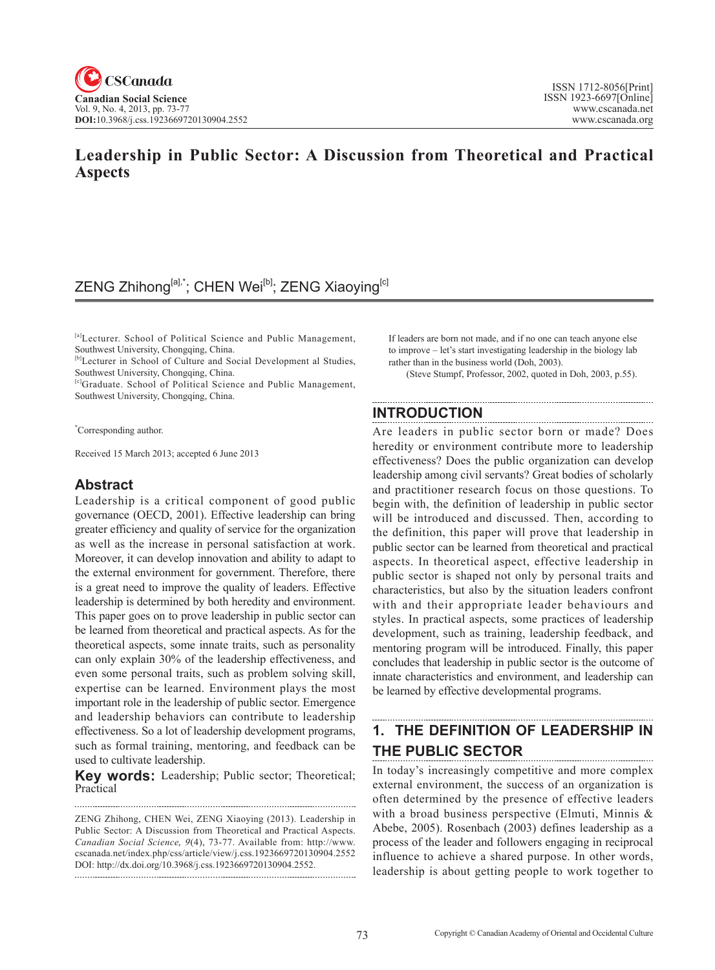### **Leadership in Public Sector: A Discussion from Theoretical and Practical Aspects**

# ZENG Zhihong<sup>[a],\*</sup>; CHEN Wei<sup>[b]</sup>; ZENG Xiaoying<sup>[c]</sup>

[a]Lecturer. School of Political Science and Public Management, Southwest University, Chongqing, China.

[b]Lecturer in School of Culture and Social Development al Studies, Southwest University, Chongqing, China.

[c]Graduate. School of Political Science and Public Management, Southwest University, Chongqing, China.

\* Corresponding author.

Received 15 March 2013; accepted 6 June 2013

### **Abstract**

Leadership is a critical component of good public governance (OECD, 2001). Effective leadership can bring greater efficiency and quality of service for the organization as well as the increase in personal satisfaction at work. Moreover, it can develop innovation and ability to adapt to the external environment for government. Therefore, there is a great need to improve the quality of leaders. Effective leadership is determined by both heredity and environment. This paper goes on to prove leadership in public sector can be learned from theoretical and practical aspects. As for the theoretical aspects, some innate traits, such as personality can only explain 30% of the leadership effectiveness, and even some personal traits, such as problem solving skill, expertise can be learned. Environment plays the most important role in the leadership of public sector. Emergence and leadership behaviors can contribute to leadership effectiveness. So a lot of leadership development programs, such as formal training, mentoring, and feedback can be used to cultivate leadership.

**Key words:** Leadership; Public sector; Theoretical; Practical

ZENG Zhihong, CHEN Wei, ZENG Xiaoying (2013). Leadership in Public Sector: A Discussion from Theoretical and Practical Aspects. *Canadian Social Science*, <sup>9</sup>(4), 73-77. Available from: http://www. cscanada.net/index.php/css/article/view/j.css.1923669720130904.2552 DOI: http://dx.doi.org/10.3968/j.css.1923669720130904.2552. 

If leaders are born not made, and if no one can teach anyone else to improve – let's start investigating leadership in the biology lab rather than in the business world (Doh, 2003).

(Steve Stumpf, Professor, 2002, quoted in Doh, 2003, p.55).

### **INTRODUCTION**

Are leaders in public sector born or made? Does heredity or environment contribute more to leadership effectiveness? Does the public organization can develop leadership among civil servants? Great bodies of scholarly and practitioner research focus on those questions. To begin with, the definition of leadership in public sector will be introduced and discussed. Then, according to the definition, this paper will prove that leadership in public sector can be learned from theoretical and practical aspects. In theoretical aspect, effective leadership in public sector is shaped not only by personal traits and characteristics, but also by the situation leaders confront with and their appropriate leader behaviours and styles. In practical aspects, some practices of leadership development, such as training, leadership feedback, and mentoring program will be introduced. Finally, this paper concludes that leadership in public sector is the outcome of innate characteristics and environment, and leadership can be learned by effective developmental programs.

# **1. THE DEFINITION OF LEADERSHIP IN THE PUBLIC SECTOR**

In today's increasingly competitive and more complex external environment, the success of an organization is often determined by the presence of effective leaders with a broad business perspective (Elmuti, Minnis & Abebe, 2005). Rosenbach (2003) defines leadership as a process of the leader and followers engaging in reciprocal influence to achieve a shared purpose. In other words, leadership is about getting people to work together to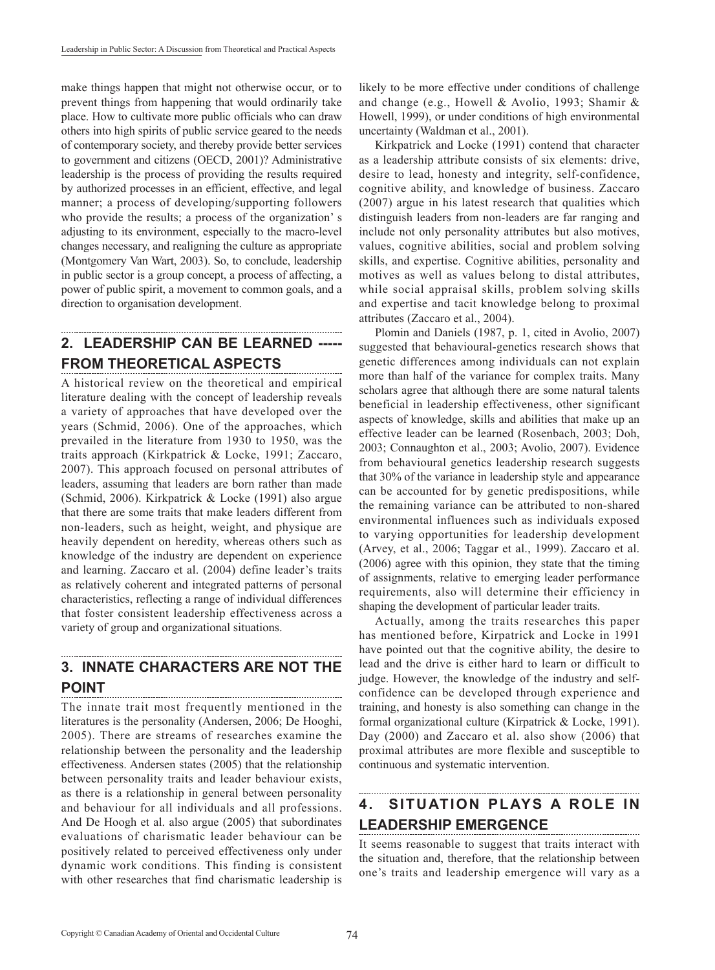make things happen that might not otherwise occur, or to prevent things from happening that would ordinarily take place. How to cultivate more public officials who can draw others into high spirits of public service geared to the needs of contemporary society, and thereby provide better services to government and citizens (OECD, 2001)? Administrative leadership is the process of providing the results required by authorized processes in an efficient, effective, and legal manner; a process of developing/supporting followers who provide the results; a process of the organization' s adjusting to its environment, especially to the macro-level changes necessary, and realigning the culture as appropriate (Montgomery Van Wart, 2003). So, to conclude, leadership in public sector is a group concept, a process of affecting, a power of public spirit, a movement to common goals, and a direction to organisation development.

# **2. LEADERSHIP CAN BE LEARNED ----- FROM THEORETICAL ASPECTS**

A historical review on the theoretical and empirical literature dealing with the concept of leadership reveals a variety of approaches that have developed over the years (Schmid, 2006). One of the approaches, which prevailed in the literature from 1930 to 1950, was the traits approach (Kirkpatrick & Locke, 1991; Zaccaro, 2007). This approach focused on personal attributes of leaders, assuming that leaders are born rather than made (Schmid, 2006). Kirkpatrick & Locke (1991) also argue that there are some traits that make leaders different from non-leaders, such as height, weight, and physique are heavily dependent on heredity, whereas others such as knowledge of the industry are dependent on experience and learning. Zaccaro et al. (2004) define leader's traits as relatively coherent and integrated patterns of personal characteristics, reflecting a range of individual differences that foster consistent leadership effectiveness across a variety of group and organizational situations.

#### **3. INNATE CHARACTERS ARE NOT THE POINT**

The innate trait most frequently mentioned in the literatures is the personality (Andersen, 2006; De Hooghi, 2005). There are streams of researches examine the relationship between the personality and the leadership effectiveness. Andersen states (2005) that the relationship between personality traits and leader behaviour exists, as there is a relationship in general between personality and behaviour for all individuals and all professions. And De Hoogh et al. also argue (2005) that subordinates evaluations of charismatic leader behaviour can be positively related to perceived effectiveness only under dynamic work conditions. This finding is consistent with other researches that find charismatic leadership is likely to be more effective under conditions of challenge and change (e.g., Howell & Avolio, 1993; Shamir & Howell, 1999), or under conditions of high environmental uncertainty (Waldman et al., 2001).

Kirkpatrick and Locke (1991) contend that character as a leadership attribute consists of six elements: drive, desire to lead, honesty and integrity, self-confidence, cognitive ability, and knowledge of business. Zaccaro (2007) argue in his latest research that qualities which distinguish leaders from non-leaders are far ranging and include not only personality attributes but also motives, values, cognitive abilities, social and problem solving skills, and expertise. Cognitive abilities, personality and motives as well as values belong to distal attributes, while social appraisal skills, problem solving skills and expertise and tacit knowledge belong to proximal attributes (Zaccaro et al., 2004).

Plomin and Daniels (1987, p. 1, cited in Avolio, 2007) suggested that behavioural-genetics research shows that genetic differences among individuals can not explain more than half of the variance for complex traits. Many scholars agree that although there are some natural talents beneficial in leadership effectiveness, other significant aspects of knowledge, skills and abilities that make up an effective leader can be learned (Rosenbach, 2003; Doh, 2003; Connaughton et al., 2003; Avolio, 2007). Evidence from behavioural genetics leadership research suggests that 30% of the variance in leadership style and appearance can be accounted for by genetic predispositions, while the remaining variance can be attributed to non-shared environmental influences such as individuals exposed to varying opportunities for leadership development (Arvey, et al., 2006; Taggar et al., 1999). Zaccaro et al. (2006) agree with this opinion, they state that the timing of assignments, relative to emerging leader performance requirements, also will determine their efficiency in shaping the development of particular leader traits.

Actually, among the traits researches this paper has mentioned before, Kirpatrick and Locke in 1991 have pointed out that the cognitive ability, the desire to lead and the drive is either hard to learn or difficult to judge. However, the knowledge of the industry and selfconfidence can be developed through experience and training, and honesty is also something can change in the formal organizational culture (Kirpatrick & Locke, 1991). Day (2000) and Zaccaro et al. also show (2006) that proximal attributes are more flexible and susceptible to continuous and systematic intervention.

# **4. SITUATION PLAYS A ROLE IN LEADERSHIP EMERGENCE**

It seems reasonable to suggest that traits interact with the situation and, therefore, that the relationship between one's traits and leadership emergence will vary as a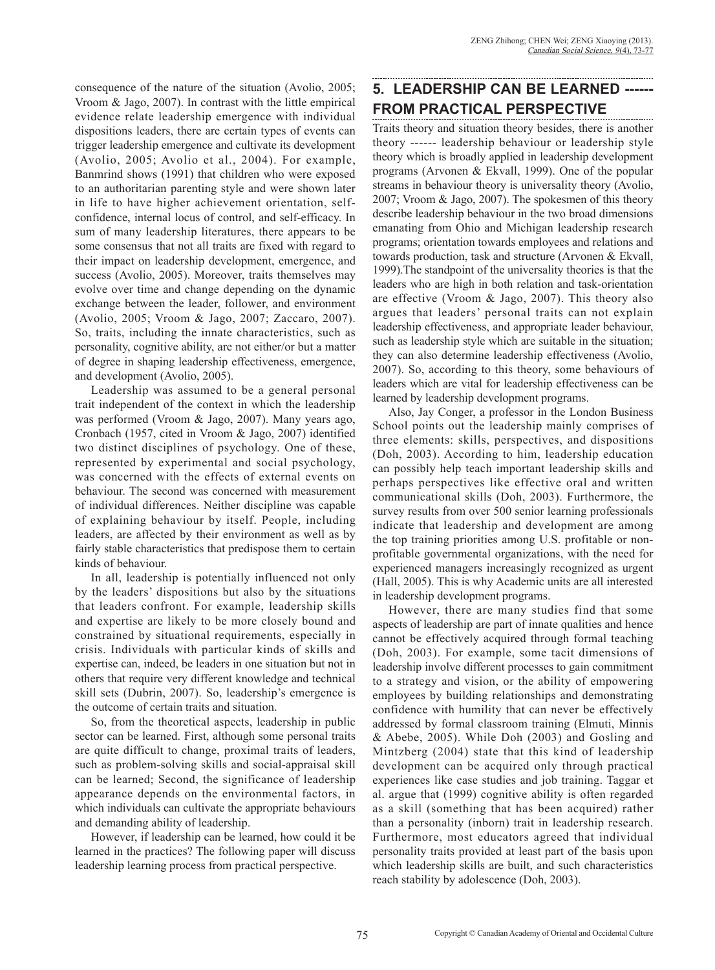consequence of the nature of the situation (Avolio, 2005; Vroom & Jago, 2007). In contrast with the little empirical evidence relate leadership emergence with individual dispositions leaders, there are certain types of events can trigger leadership emergence and cultivate its development (Avolio, 2005; Avolio et al., 2004). For example, Banmrind shows (1991) that children who were exposed to an authoritarian parenting style and were shown later in life to have higher achievement orientation, selfconfidence, internal locus of control, and self-efficacy. In sum of many leadership literatures, there appears to be some consensus that not all traits are fixed with regard to their impact on leadership development, emergence, and success (Avolio, 2005). Moreover, traits themselves may evolve over time and change depending on the dynamic exchange between the leader, follower, and environment (Avolio, 2005; Vroom & Jago, 2007; Zaccaro, 2007). So, traits, including the innate characteristics, such as personality, cognitive ability, are not either/or but a matter of degree in shaping leadership effectiveness, emergence, and development (Avolio, 2005).

Leadership was assumed to be a general personal trait independent of the context in which the leadership was performed (Vroom & Jago, 2007). Many years ago, Cronbach (1957, cited in Vroom & Jago, 2007) identified two distinct disciplines of psychology. One of these, represented by experimental and social psychology, was concerned with the effects of external events on behaviour. The second was concerned with measurement of individual differences. Neither discipline was capable of explaining behaviour by itself. People, including leaders, are affected by their environment as well as by fairly stable characteristics that predispose them to certain kinds of behaviour.

In all, leadership is potentially influenced not only by the leaders' dispositions but also by the situations that leaders confront. For example, leadership skills and expertise are likely to be more closely bound and constrained by situational requirements, especially in crisis. Individuals with particular kinds of skills and expertise can, indeed, be leaders in one situation but not in others that require very different knowledge and technical skill sets (Dubrin, 2007). So, leadership's emergence is the outcome of certain traits and situation.

So, from the theoretical aspects, leadership in public sector can be learned. First, although some personal traits are quite difficult to change, proximal traits of leaders, such as problem-solving skills and social-appraisal skill can be learned; Second, the significance of leadership appearance depends on the environmental factors, in which individuals can cultivate the appropriate behaviours and demanding ability of leadership.

However, if leadership can be learned, how could it be learned in the practices? The following paper will discuss leadership learning process from practical perspective.

### **5. LEADERSHIP CAN BE LEARNED ------ FROM PRACTICAL PERSPECTIVE**

Traits theory and situation theory besides, there is another theory ------ leadership behaviour or leadership style theory which is broadly applied in leadership development programs (Arvonen & Ekvall, 1999). One of the popular streams in behaviour theory is universality theory (Avolio, 2007; Vroom & Jago, 2007). The spokesmen of this theory describe leadership behaviour in the two broad dimensions emanating from Ohio and Michigan leadership research programs; orientation towards employees and relations and towards production, task and structure (Arvonen & Ekvall, 1999).The standpoint of the universality theories is that the leaders who are high in both relation and task-orientation are effective (Vroom & Jago, 2007). This theory also argues that leaders' personal traits can not explain leadership effectiveness, and appropriate leader behaviour, such as leadership style which are suitable in the situation; they can also determine leadership effectiveness (Avolio, 2007). So, according to this theory, some behaviours of leaders which are vital for leadership effectiveness can be learned by leadership development programs.

Also, Jay Conger, a professor in the London Business School points out the leadership mainly comprises of three elements: skills, perspectives, and dispositions (Doh, 2003). According to him, leadership education can possibly help teach important leadership skills and perhaps perspectives like effective oral and written communicational skills (Doh, 2003). Furthermore, the survey results from over 500 senior learning professionals indicate that leadership and development are among the top training priorities among U.S. profitable or nonprofitable governmental organizations, with the need for experienced managers increasingly recognized as urgent (Hall, 2005). This is why Academic units are all interested in leadership development programs.

However, there are many studies find that some aspects of leadership are part of innate qualities and hence cannot be effectively acquired through formal teaching (Doh, 2003). For example, some tacit dimensions of leadership involve different processes to gain commitment to a strategy and vision, or the ability of empowering employees by building relationships and demonstrating confidence with humility that can never be effectively addressed by formal classroom training (Elmuti, Minnis & Abebe, 2005). While Doh (2003) and Gosling and Mintzberg (2004) state that this kind of leadership development can be acquired only through practical experiences like case studies and job training. Taggar et al. argue that (1999) cognitive ability is often regarded as a skill (something that has been acquired) rather than a personality (inborn) trait in leadership research. Furthermore, most educators agreed that individual personality traits provided at least part of the basis upon which leadership skills are built, and such characteristics reach stability by adolescence (Doh, 2003).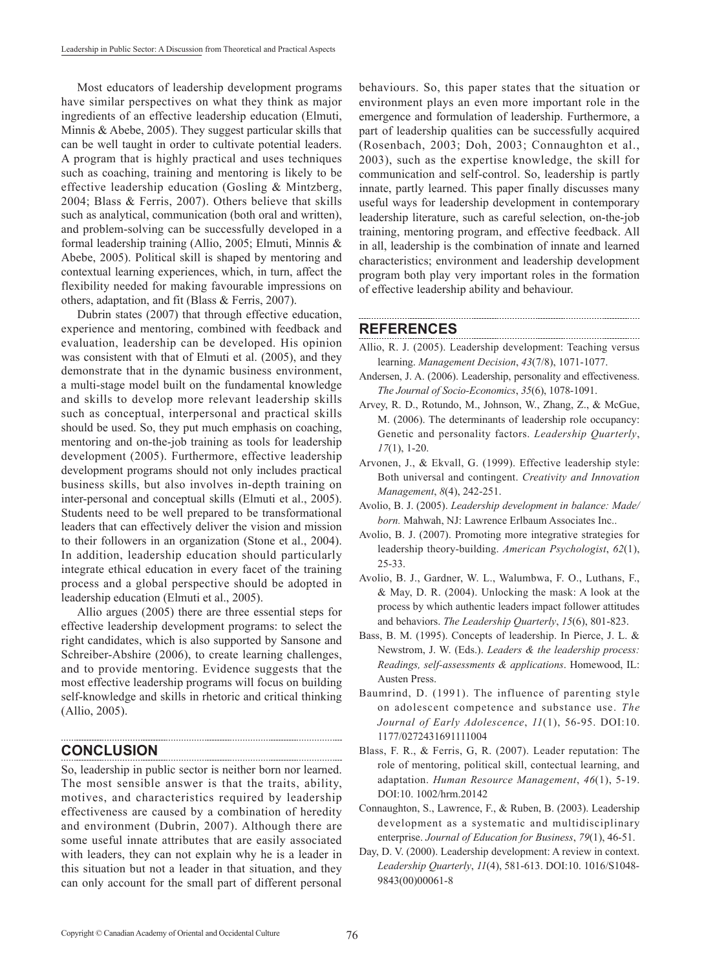Most educators of leadership development programs have similar perspectives on what they think as major ingredients of an effective leadership education (Elmuti, Minnis & Abebe, 2005). They suggest particular skills that can be well taught in order to cultivate potential leaders. A program that is highly practical and uses techniques such as coaching, training and mentoring is likely to be effective leadership education (Gosling & Mintzberg, 2004; Blass & Ferris, 2007). Others believe that skills such as analytical, communication (both oral and written), and problem-solving can be successfully developed in a formal leadership training (Allio, 2005; Elmuti, Minnis & Abebe, 2005). Political skill is shaped by mentoring and contextual learning experiences, which, in turn, affect the flexibility needed for making favourable impressions on others, adaptation, and fit (Blass & Ferris, 2007).

Dubrin states (2007) that through effective education, experience and mentoring, combined with feedback and evaluation, leadership can be developed. His opinion was consistent with that of Elmuti et al. (2005), and they demonstrate that in the dynamic business environment, a multi-stage model built on the fundamental knowledge and skills to develop more relevant leadership skills such as conceptual, interpersonal and practical skills should be used. So, they put much emphasis on coaching, mentoring and on-the-job training as tools for leadership development (2005). Furthermore, effective leadership development programs should not only includes practical business skills, but also involves in-depth training on inter-personal and conceptual skills (Elmuti et al., 2005). Students need to be well prepared to be transformational leaders that can effectively deliver the vision and mission to their followers in an organization (Stone et al., 2004). In addition, leadership education should particularly integrate ethical education in every facet of the training process and a global perspective should be adopted in leadership education (Elmuti et al., 2005).

Allio argues (2005) there are three essential steps for effective leadership development programs: to select the right candidates, which is also supported by Sansone and Schreiber-Abshire (2006), to create learning challenges, and to provide mentoring. Evidence suggests that the most effective leadership programs will focus on building self-knowledge and skills in rhetoric and critical thinking (Allio, 2005).

### **CONCLUSION**

So, leadership in public sector is neither born nor learned. The most sensible answer is that the traits, ability, motives, and characteristics required by leadership effectiveness are caused by a combination of heredity and environment (Dubrin, 2007). Although there are some useful innate attributes that are easily associated with leaders, they can not explain why he is a leader in this situation but not a leader in that situation, and they can only account for the small part of different personal

behaviours. So, this paper states that the situation or environment plays an even more important role in the emergence and formulation of leadership. Furthermore, a part of leadership qualities can be successfully acquired (Rosenbach, 2003; Doh, 2003; Connaughton et al., 2003), such as the expertise knowledge, the skill for communication and self-control. So, leadership is partly innate, partly learned. This paper finally discusses many useful ways for leadership development in contemporary leadership literature, such as careful selection, on-the-job training, mentoring program, and effective feedback. All in all, leadership is the combination of innate and learned characteristics; environment and leadership development program both play very important roles in the formation of effective leadership ability and behaviour.

### **REFERENCES**

Allio, R. J. (2005). Leadership development: Teaching versus learning. *Management Decision*, *43*(7/8), 1071-1077.

- Andersen, J. A. (2006). Leadership, personality and effectiveness. *The Journal of Socio-Economics*, *35*(6), 1078-1091.
- Arvey, R. D., Rotundo, M., Johnson, W., Zhang, Z., & McGue, M. (2006). The determinants of leadership role occupancy: Genetic and personality factors. *Leadership Quarterly*, *17*(1), 1-20.
- Arvonen, J., & Ekvall, G. (1999). Effective leadership style: Both universal and contingent. *Creativity and Innovation Management*, *8*(4), 242-251.
- Avolio, B. J. (2005). *Leadership development in balance: Made/ born.* Mahwah, NJ: Lawrence Erlbaum Associates Inc..
- Avolio, B. J. (2007). Promoting more integrative strategies for leadership theory-building. *American Psychologist*, *62*(1), 25-33.
- Avolio, B. J., Gardner, W. L., Walumbwa, F. O., Luthans, F., & May, D. R. (2004). Unlocking the mask: A look at the process by which authentic leaders impact follower attitudes and behaviors. *The Leadership Quarterly*, *15*(6), 801-823.
- Bass, B. M. (1995). Concepts of leadership. In Pierce, J. L. & Newstrom, J. W. (Eds.). *Leaders & the leadership process: Readings, self-assessments & applications*. Homewood, IL: Austen Press.
- Baumrind, D. (1991). The influence of parenting style on adolescent competence and substance use. *The Journal of Early Adolescence*, *11*(1), 56-95. DOI:10. 1177/0272431691111004
- Blass, F. R., & Ferris, G, R. (2007). Leader reputation: The role of mentoring, political skill, contectual learning, and adaptation. *Human Resource Management*, *46*(1), 5-19. DOI:10. 1002/hrm.20142
- Connaughton, S., Lawrence, F., & Ruben, B. (2003). Leadership development as a systematic and multidisciplinary enterprise. *Journal of Education for Business*, *79*(1), 46-51.
- Day, D. V. (2000). Leadership development: A review in context. *Leadership Quarterly*, *11*(4), 581-613. DOI:10. 1016/S1048- 9843(00)00061-8